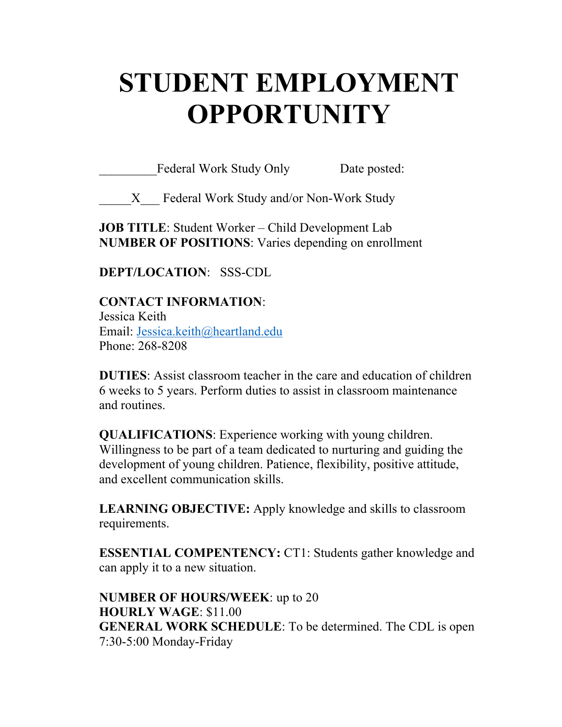# **STUDENT EMPLOYMENT OPPORTUNITY**

Federal Work Study Only Date posted:

X Federal Work Study and/or Non-Work Study

**JOB TITLE**: Student Worker – Child Development Lab **NUMBER OF POSITIONS**: Varies depending on enrollment

**DEPT/LOCATION**: SSS-CDL

**CONTACT INFORMATION**: Jessica Keith Email: Jessica.keith@heartland.edu Phone: 268-8208

**DUTIES**: Assist classroom teacher in the care and education of children 6 weeks to 5 years. Perform duties to assist in classroom maintenance and routines.

**QUALIFICATIONS**: Experience working with young children. Willingness to be part of a team dedicated to nurturing and guiding the development of young children. Patience, flexibility, positive attitude, and excellent communication skills.

**LEARNING OBJECTIVE:** Apply knowledge and skills to classroom requirements.

**ESSENTIAL COMPENTENCY:** CT1: Students gather knowledge and can apply it to a new situation.

**NUMBER OF HOURS/WEEK**: up to 20 **HOURLY WAGE**: \$11.00 **GENERAL WORK SCHEDULE**: To be determined. The CDL is open 7:30-5:00 Monday-Friday